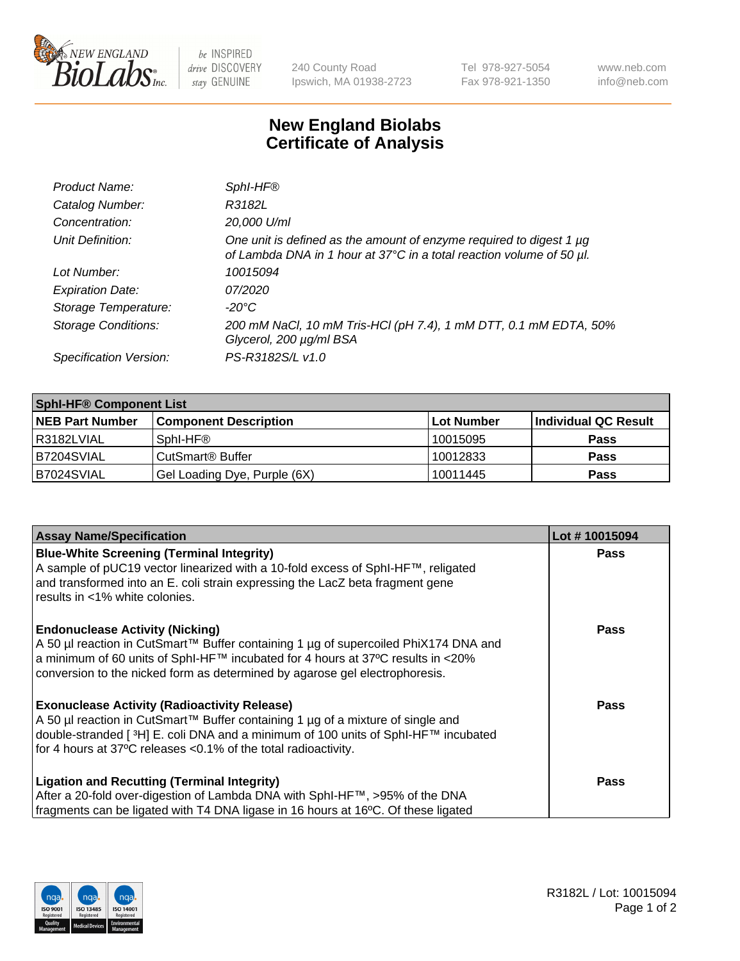

 $be$  INSPIRED drive DISCOVERY stay GENUINE

240 County Road Ipswich, MA 01938-2723 Tel 978-927-5054 Fax 978-921-1350 www.neb.com info@neb.com

## **New England Biolabs Certificate of Analysis**

| Product Name:              | Sphl-HF®                                                                                                                                         |
|----------------------------|--------------------------------------------------------------------------------------------------------------------------------------------------|
| Catalog Number:            | R3182L                                                                                                                                           |
| Concentration:             | 20,000 U/ml                                                                                                                                      |
| Unit Definition:           | One unit is defined as the amount of enzyme required to digest 1 $\mu$ g<br>of Lambda DNA in 1 hour at 37°C in a total reaction volume of 50 µl. |
| Lot Number:                | 10015094                                                                                                                                         |
| <b>Expiration Date:</b>    | 07/2020                                                                                                                                          |
| Storage Temperature:       | -20°C                                                                                                                                            |
| <b>Storage Conditions:</b> | 200 mM NaCl, 10 mM Tris-HCl (pH 7.4), 1 mM DTT, 0.1 mM EDTA, 50%<br>Glycerol, 200 µg/ml BSA                                                      |
| Specification Version:     | PS-R3182S/L v1.0                                                                                                                                 |

| <b>Sphi-HF® Component List</b> |                              |            |                      |  |  |
|--------------------------------|------------------------------|------------|----------------------|--|--|
| <b>NEB Part Number</b>         | <b>Component Description</b> | Lot Number | Individual QC Result |  |  |
| I R3182LVIAL                   | Sphl-HF®                     | 10015095   | <b>Pass</b>          |  |  |
| B7204SVIAL                     | CutSmart <sup>®</sup> Buffer | 10012833   | <b>Pass</b>          |  |  |
| B7024SVIAL                     | Gel Loading Dye, Purple (6X) | 10011445   | <b>Pass</b>          |  |  |

| <b>Assay Name/Specification</b>                                                                                                                                                                                                                                | Lot #10015094 |
|----------------------------------------------------------------------------------------------------------------------------------------------------------------------------------------------------------------------------------------------------------------|---------------|
| <b>Blue-White Screening (Terminal Integrity)</b><br>A sample of pUC19 vector linearized with a 10-fold excess of SphI-HF™, religated                                                                                                                           | <b>Pass</b>   |
| and transformed into an E. coli strain expressing the LacZ beta fragment gene<br>results in <1% white colonies.                                                                                                                                                |               |
| <b>Endonuclease Activity (Nicking)</b>                                                                                                                                                                                                                         | <b>Pass</b>   |
| A 50 µl reaction in CutSmart™ Buffer containing 1 µg of supercoiled PhiX174 DNA and<br>$\alpha$ a minimum of 60 units of SphI-HF™ incubated for 4 hours at 37°C results in <20%<br>conversion to the nicked form as determined by agarose gel electrophoresis. |               |
| <b>Exonuclease Activity (Radioactivity Release)</b>                                                                                                                                                                                                            | Pass          |
| A 50 µl reaction in CutSmart™ Buffer containing 1 µg of a mixture of single and<br>double-stranded [3H] E. coli DNA and a minimum of 100 units of SphI-HF™ incubated                                                                                           |               |
| for 4 hours at 37°C releases <0.1% of the total radioactivity.                                                                                                                                                                                                 |               |
| <b>Ligation and Recutting (Terminal Integrity)</b>                                                                                                                                                                                                             | <b>Pass</b>   |
| After a 20-fold over-digestion of Lambda DNA with SphI-HF™, >95% of the DNA                                                                                                                                                                                    |               |
| fragments can be ligated with T4 DNA ligase in 16 hours at 16°C. Of these ligated                                                                                                                                                                              |               |